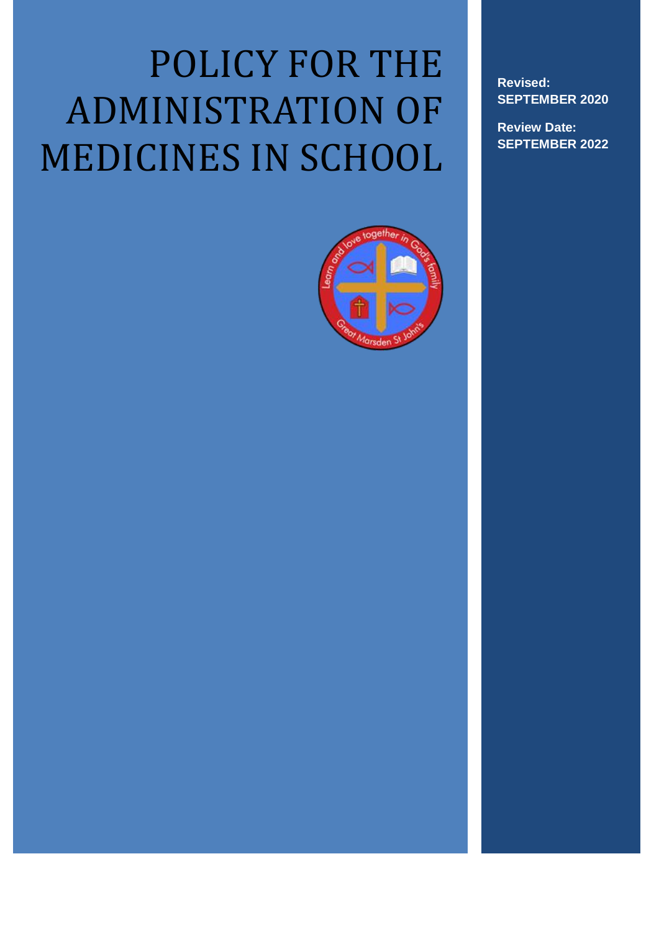# POLICY FOR THE ADMINISTRATION OF MEDICINES IN SCHOOL



**Revised: SEPTEMBER 2020**

**Review Date: SEPTEMBER 2022**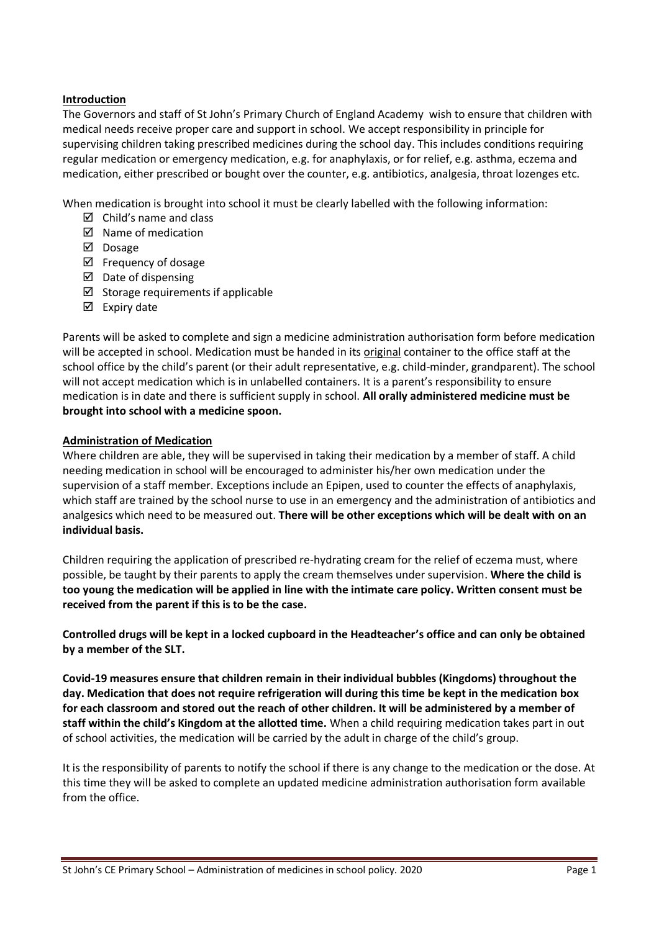# **Introduction**

The Governors and staff of St John's Primary Church of England Academy wish to ensure that children with medical needs receive proper care and support in school. We accept responsibility in principle for supervising children taking prescribed medicines during the school day. This includes conditions requiring regular medication or emergency medication, e.g. for anaphylaxis, or for relief, e.g. asthma, eczema and medication, either prescribed or bought over the counter, e.g. antibiotics, analgesia, throat lozenges etc.

When medication is brought into school it must be clearly labelled with the following information:

- $\boxtimes$  Child's name and class
- $\boxtimes$  Name of medication
- $\n *Dosage*\n$
- $\boxtimes$  Frequency of dosage
- $\boxtimes$  Date of dispensing
- $\boxtimes$  Storage requirements if applicable
- $\boxtimes$  Expiry date

Parents will be asked to complete and sign a medicine administration authorisation form before medication will be accepted in school. Medication must be handed in its original container to the office staff at the school office by the child's parent (or their adult representative, e.g. child-minder, grandparent). The school will not accept medication which is in unlabelled containers. It is a parent's responsibility to ensure medication is in date and there is sufficient supply in school. **All orally administered medicine must be brought into school with a medicine spoon.**

# **Administration of Medication**

Where children are able, they will be supervised in taking their medication by a member of staff. A child needing medication in school will be encouraged to administer his/her own medication under the supervision of a staff member. Exceptions include an Epipen, used to counter the effects of anaphylaxis, which staff are trained by the school nurse to use in an emergency and the administration of antibiotics and analgesics which need to be measured out. **There will be other exceptions which will be dealt with on an individual basis.**

Children requiring the application of prescribed re-hydrating cream for the relief of eczema must, where possible, be taught by their parents to apply the cream themselves under supervision. **Where the child is too young the medication will be applied in line with the intimate care policy. Written consent must be received from the parent if this is to be the case.** 

**Controlled drugs will be kept in a locked cupboard in the Headteacher's office and can only be obtained by a member of the SLT.**

**Covid-19 measures ensure that children remain in their individual bubbles (Kingdoms) throughout the day. Medication that does not require refrigeration will during this time be kept in the medication box for each classroom and stored out the reach of other children. It will be administered by a member of staff within the child's Kingdom at the allotted time.** When a child requiring medication takes part in out of school activities, the medication will be carried by the adult in charge of the child's group.

It is the responsibility of parents to notify the school if there is any change to the medication or the dose. At this time they will be asked to complete an updated medicine administration authorisation form available from the office.